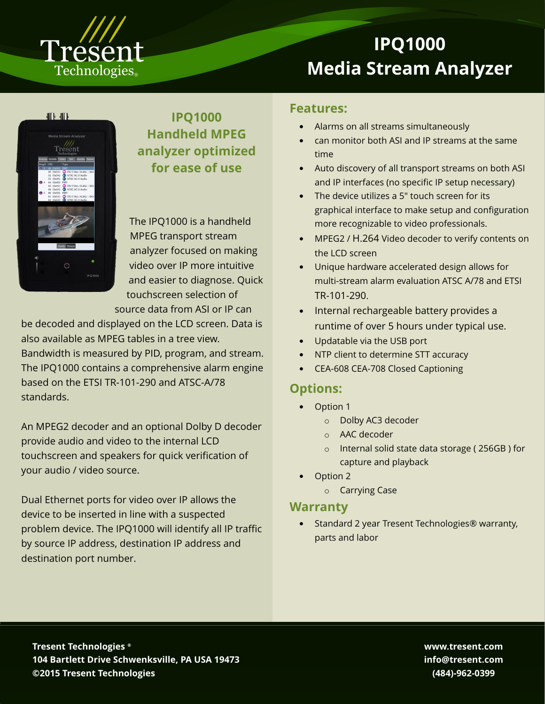

# **IPQ1000 Media Stream Analyzer**

#### 41 M



**IPQ1000 Handheld MPEG analyzer optimized for ease of use**

The IPQ1000 is a handheld MPEG transport stream analyzer focused on making video over IP more intuitive and easier to diagnose. Quick touchscreen selection of source data from ASI or IP can

be decoded and displayed on the LCD screen. Data is also available as MPEG tables in a tree view. Bandwidth is measured by PID, program, and stream. The IPQ1000 contains a comprehensive alarm engine based on the ETSI TR-101-290 and ATSC-A/78 standards.

An MPEG2 decoder and an optional Dolby D decoder provide audio and video to the internal LCD touchscreen and speakers for quick verification of your audio / video source.

Dual Ethernet ports for video over IP allows the device to be inserted in line with a suspected problem device. The IPQ1000 will identify all IP traffic by source IP address, destination IP address and destination port number.

#### **Features:**

- Alarms on all streams simultaneously
- can monitor both ASI and IP streams at the same time
- Auto discovery of all transport streams on both ASI and IP interfaces (no specific IP setup necessary)
- The device utilizes a 5" touch screen for its graphical interface to make setup and configuration more recognizable to video professionals.
- MPEG2 / H.264 Video decoder to verify contents on the LCD screen
- Unique hardware accelerated design allows for multi-stream alarm evaluation ATSC A/78 and ETSI TR-101-290.
- Internal rechargeable battery provides a runtime of over 5 hours under typical use.
- Updatable via the USB port
- NTP client to determine STT accuracy
- CEA-608 CEA-708 Closed Captioning

## **Options:**

- Option 1
	- o Dolby AC3 decoder
	- o AAC decoder
	- o Internal solid state data storage ( 256GB ) for capture and playback
- Option 2
	- o Carrying Case

## **Warranty**

• Standard 2 year Tresent Technologies® warranty, parts and labor

**Tresent Technologies ® 104 Bartlett Drive Schwenksville, PA USA 19473 ©2015 Tresent Technologies**

**www.tresent.com info@tresent.com (484)-962-0399**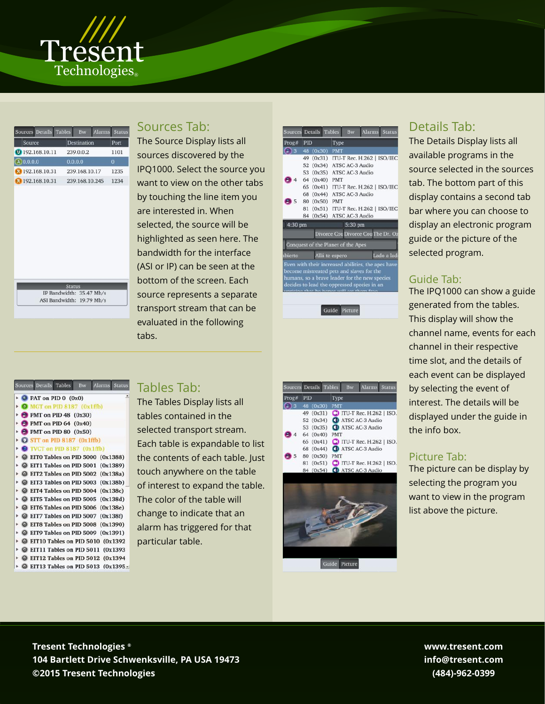

| Sources Details Tables<br>Bw | Alarms Status |
|------------------------------|---------------|
| Destination                  | Port          |
| 239.0.0.2                    | 1101          |
| 0.0.0.0                      |               |
| 239.168.10.17                | 1235          |
| 239.168.10.245               | 1234          |
|                              |               |

IP Bandwidth: 35.47 Mb/s ASI Bandwidth: 19.79 Mb/s

#### urces Details Tables Bw Alarms Status  $\bullet$  PAT on PID 0  $(0x0)$ O MGT on PID 8187 (0x1ffb)  $\rightarrow$   $\rightarrow$  PMT on PID 48 (0x30)  $\rightarrow$  **O** PMT on PID 64 (0x40)  $\rightarrow$  **O** PMT on PID 80 (0x50)  $\triangleright$  O STT on PID 8187 (0x1ffb)  $\rightarrow$  O TVCT on PID 8187 (0x1ffb) • © EITO Tables on PID 5000 (0x1388)  $\triangleright$   $\odot$  EIT1 Tables on PID 5001 (0x1389) • © EIT2 Tables on PID 5002 (0x138a)  $\triangleright$   $\odot$  EIT3 Tables on PID 5003 (0x138b)  $\triangleright$   $\odot$  EIT4 Tables on PID 5004 (0x138c)  $\triangleright$   $\odot$  EIT5 Tables on PID 5005 (0x138d) • © EIT6 Tables on PID 5006 (0x138e)  $\triangleright$   $\odot$  EIT7 Tables on PID 5007 (0x138f)  $\triangleright$   $\odot$  EIT8 Tables on PID 5008 (0x1390) • © EIT9 Tables on PID 5009 (0x1391) • © EIT10 Tables on PID 5010 (0x1392  $\triangleright$   $\odot$  EIT11 Tables on PID 5011 (0x1393)  $\triangleright$   $\odot$  EIT12 Tables on PID 5012 (0x1394 • © EIT13 Tables on PID 5013 (0x1395 -

# Sources Tab:

Tables Tab:

The Tables Display lists all tables contained in the selected transport stream. Each table is expandable to list the contents of each table. Just touch anywhere on the table of interest to expand the table.

The color of the table will change to indicate that an alarm has triggered for that

particular table.

The Source Display lists all sources discovered by the IPQ1000. Select the source you want to view on the other tabs by touching the line item you are interested in. When selected, the source will be highlighted as seen here. The bandwidth for the interface (ASI or IP) can be seen at the bottom of the screen. Each source represents a separate transport stream that can be evaluated in the following tabs.

| Sources Details Tables    |            |               |            | <b>Bw</b>                          |                                                                                                                                                                                                 | <b>Alarms</b> Status |
|---------------------------|------------|---------------|------------|------------------------------------|-------------------------------------------------------------------------------------------------------------------------------------------------------------------------------------------------|----------------------|
| Prog#                     | <b>PID</b> |               | Type       |                                    |                                                                                                                                                                                                 |                      |
| $\overline{\phantom{a}}$  |            | 48 (0x30)     | <b>PMT</b> |                                    |                                                                                                                                                                                                 |                      |
|                           |            |               |            |                                    | 49 (0x31) ITU-T Rec. H.262   ISO/IEC                                                                                                                                                            |                      |
|                           |            |               |            | 52 (0x34) ATSC AC-3 Audio          |                                                                                                                                                                                                 |                      |
|                           |            |               |            | 53 (0x35) ATSC AC-3 Audio          |                                                                                                                                                                                                 |                      |
| 4                         |            | 64 (0x40) PMT |            |                                    |                                                                                                                                                                                                 |                      |
|                           |            |               |            |                                    | 65 (0x41) ITU-T Rec. H.262   ISO/IEC                                                                                                                                                            |                      |
|                           |            |               |            | 68 (0x44) ATSC AC-3 Audio          |                                                                                                                                                                                                 |                      |
| 5 <sup>5</sup>            |            | 80 (0x50) PMT |            |                                    |                                                                                                                                                                                                 |                      |
|                           |            |               |            |                                    | 81 (0x51) ITU-T Rec. H.262   ISO/IEC                                                                                                                                                            |                      |
|                           |            |               |            | 84 (0x54) ATSC AC-3 Audio          |                                                                                                                                                                                                 |                      |
| 4:30 pm                   |            |               |            | 5:30 pm                            |                                                                                                                                                                                                 |                      |
|                           |            |               |            |                                    | Divorce Cou Divorce Cou The Dr. Oz                                                                                                                                                              |                      |
|                           |            |               |            | Conquest of the Planet of the Apes |                                                                                                                                                                                                 |                      |
| Allá te espero<br>ibierto |            |               |            |                                    |                                                                                                                                                                                                 | Lado a lad           |
|                           |            |               |            |                                    | Even with their increased abilities, the apes have<br>become mistreated pets and slaves for the<br>humans, so a brave leader for the new species<br>decides to lead the oppressed species in an |                      |

**IPQ1000**

**Media Stream Analyzer**

Guide Picture

|       | Sources Details Tables |            | <b>Bw</b> | Alarms Statu                              |  |
|-------|------------------------|------------|-----------|-------------------------------------------|--|
| Prog# | <b>PID</b>             |            | Type      |                                           |  |
| B     | 48 (0x30)              | <b>PMT</b> |           |                                           |  |
|       |                        |            |           | 49 (0x31) C ITU-T Rec. H.262   ISC        |  |
|       | 52 (0x34)              |            |           | <b>C</b> D ATSC AC-3 Audio                |  |
|       | 53 (0x35)              |            |           | <b>C</b> ATSC AC-3 Audio                  |  |
|       | 64 (0x40)              | <b>PMT</b> |           |                                           |  |
|       |                        |            |           | 65 (0x41) <b>C</b> ITU-T Rec. H.262   ISC |  |
|       |                        |            |           | 68 (0x44) <b>C</b> ATSC AC-3 Audio        |  |
| 5     | 80 (0x50)              | <b>PMT</b> |           |                                           |  |
|       | 81 (0x51)              |            |           | <b>CO</b> ITU-T Rec. H.262   ISC          |  |
|       | 84 (0x54)              |            |           | <b>CD</b> ATSC AC-3 Audio                 |  |



# Details Tab:

The Details Display lists all available programs in the source selected in the sources tab. The bottom part of this display contains a second tab bar where you can choose to display an electronic program guide or the picture of the selected program.

# Guide Tab:

The IPQ1000 can show a guide generated from the tables. This display will show the channel name, events for each channel in their respective time slot, and the details of each event can be displayed by selecting the event of interest. The details will be displayed under the guide in the info box.

#### Picture Tab:

The picture can be display by selecting the program you want to view in the program list above the picture.

**Tresent Technologies Tresent Technologies ® 104 Bartlett Drive Schwenksville, PA USA 19473 104 Bartlett Drive Schwenksville, PA USA 19473 ©2015 Tresent Technologies ©2015 Tresent Technologies**

**www.tresent.com info@tresent.com (484)-962-0399**